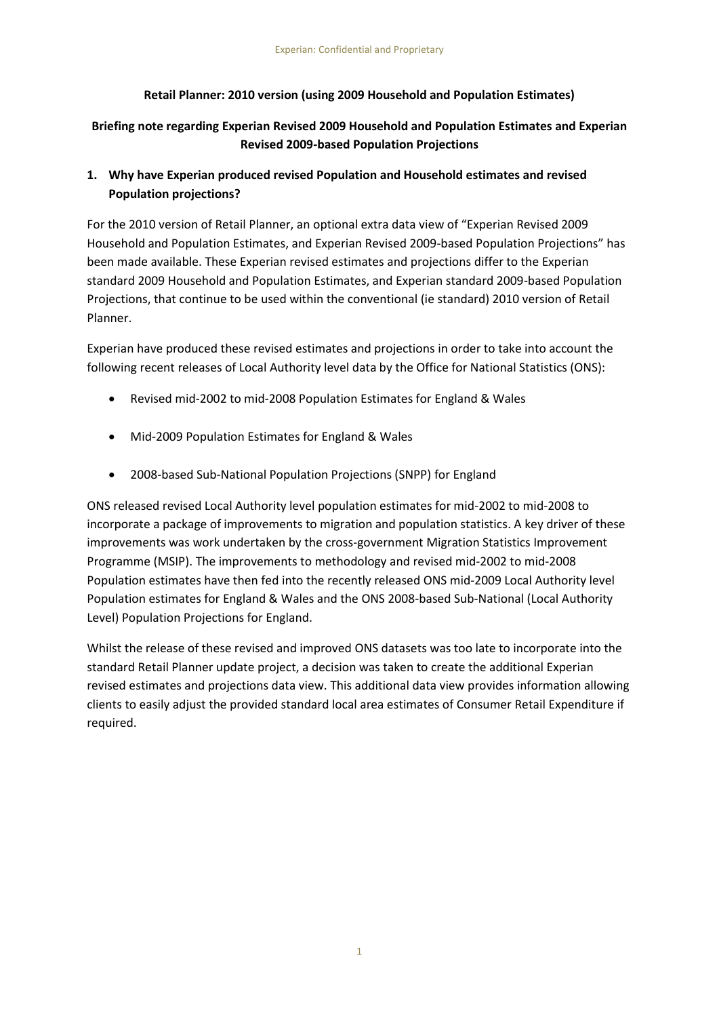## **Retail Planner: 2010 version (using 2009 Household and Population Estimates)**

## **Briefing note regarding Experian Revised 2009 Household and Population Estimates and Experian Revised 2009-based Population Projections**

# **1. Why have Experian produced revised Population and Household estimates and revised Population projections?**

For the 2010 version of Retail Planner, an optional extra data view of "Experian Revised 2009 Household and Population Estimates, and Experian Revised 2009-based Population Projections" has been made available. These Experian revised estimates and projections differ to the Experian standard 2009 Household and Population Estimates, and Experian standard 2009-based Population Projections, that continue to be used within the conventional (ie standard) 2010 version of Retail Planner.

Experian have produced these revised estimates and projections in order to take into account the following recent releases of Local Authority level data by the Office for National Statistics (ONS):

- Revised mid-2002 to mid-2008 Population Estimates for England & Wales
- Mid-2009 Population Estimates for England & Wales
- 2008-based Sub-National Population Projections (SNPP) for England

ONS released revised Local Authority level population estimates for mid-2002 to mid-2008 to incorporate a package of improvements to migration and population statistics. A key driver of these improvements was work undertaken by the cross-government Migration Statistics Improvement Programme (MSIP). The improvements to methodology and revised mid-2002 to mid-2008 Population estimates have then fed into the recently released ONS mid-2009 Local Authority level Population estimates for England & Wales and the ONS 2008-based Sub-National (Local Authority Level) Population Projections for England.

Whilst the release of these revised and improved ONS datasets was too late to incorporate into the standard Retail Planner update project, a decision was taken to create the additional Experian revised estimates and projections data view. This additional data view provides information allowing clients to easily adjust the provided standard local area estimates of Consumer Retail Expenditure if required.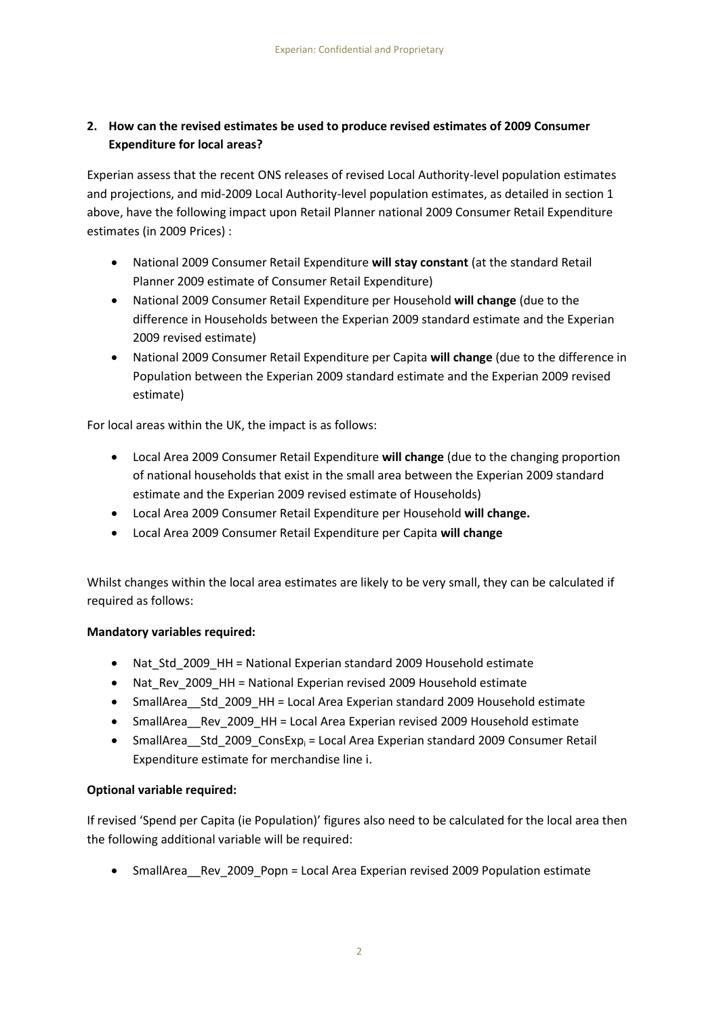# **2. How can the revised estimates be used to produce revised estimates of 2009 Consumer Expenditure for local areas?**

Experian assess that the recent ONS releases of revised Local Authority-level population estimates and projections, and mid-2009 Local Authority-level population estimates, as detailed in section 1 above, have the following impact upon Retail Planner national 2009 Consumer Retail Expenditure estimates (in 2009 Prices) :

- National 2009 Consumer Retail Expenditure **will stay constant** (at the standard Retail Planner 2009 estimate of Consumer Retail Expenditure)
- National 2009 Consumer Retail Expenditure per Household **will change** (due to the difference in Households between the Experian 2009 standard estimate and the Experian 2009 revised estimate)
- National 2009 Consumer Retail Expenditure per Capita **will change** (due to the difference in Population between the Experian 2009 standard estimate and the Experian 2009 revised estimate)

For local areas within the UK, the impact is as follows:

- Local Area 2009 Consumer Retail Expenditure **will change** (due to the changing proportion of national households that exist in the small area between the Experian 2009 standard estimate and the Experian 2009 revised estimate of Households)
- Local Area 2009 Consumer Retail Expenditure per Household **will change.**
- Local Area 2009 Consumer Retail Expenditure per Capita **will change**

Whilst changes within the local area estimates are likely to be very small, they can be calculated if required as follows:

# **Mandatory variables required:**

- Nat\_Std\_2009\_HH = National Experian standard 2009 Household estimate
- Nat\_Rev\_2009\_HH = National Experian revised 2009 Household estimate
- SmallArea Std 2009 HH = Local Area Experian standard 2009 Household estimate
- SmallArea Rev 2009 HH = Local Area Experian revised 2009 Household estimate
- SmallArea Std 2009 ConsExp<sub>i</sub> = Local Area Experian standard 2009 Consumer Retail Expenditure estimate for merchandise line i.

# **Optional variable required:**

If revised 'Spend per Capita (ie Population)' figures also need to be calculated for the local area then the following additional variable will be required:

• SmallArea Rev 2009 Popn = Local Area Experian revised 2009 Population estimate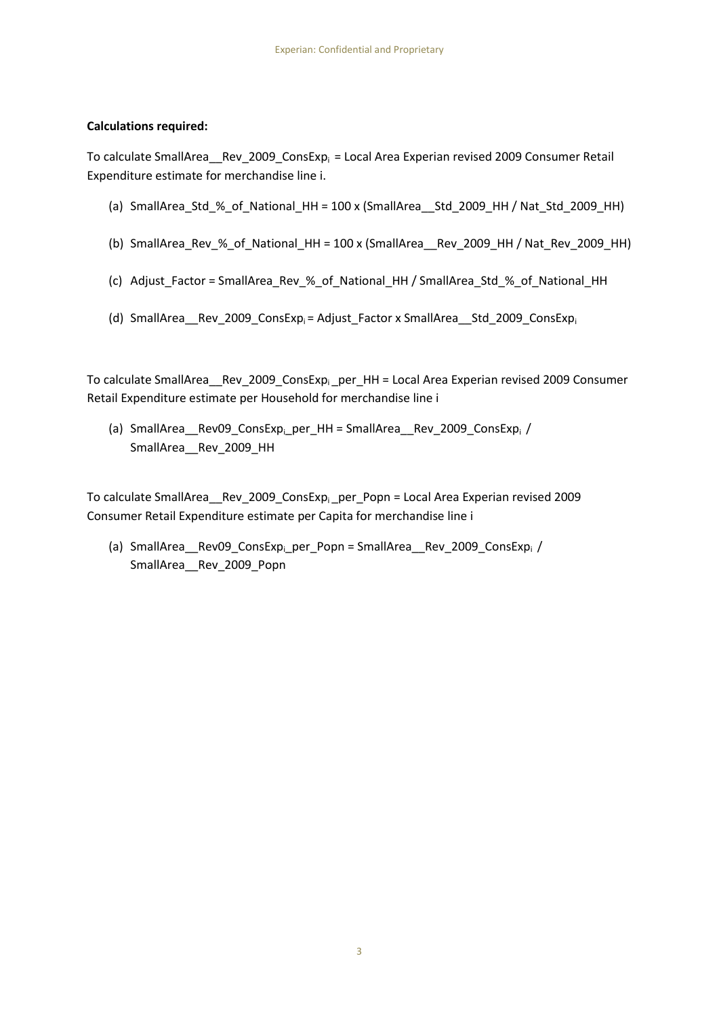### **Calculations required:**

To calculate SmallArea\_Rev\_2009\_ConsExp<sub>i</sub> = Local Area Experian revised 2009 Consumer Retail Expenditure estimate for merchandise line i.

- (a) SmallArea Std % of National HH =  $100 x$  (SmallArea Std 2009 HH / Nat Std 2009 HH)
- (b) SmallArea\_Rev\_%\_of\_National\_HH = 100 x (SmallArea\_\_Rev\_2009\_HH / Nat\_Rev\_2009\_HH)
- (c) Adjust\_Factor = SmallArea\_Rev\_%\_of\_National\_HH / SmallArea\_Std\_%\_of\_National\_HH
- (d) SmallArea Rev 2009 ConsExp<sub>i</sub> = Adjust Factor x SmallArea Std 2009 ConsExpi

To calculate SmallArea Rev\_2009\_ConsExp<sub>i</sub> per HH = Local Area Experian revised 2009 Consumer Retail Expenditure estimate per Household for merchandise line i

(a) SmallArea\_\_Rev09\_ConsExp<sub>i\_</sub>per\_HH = SmallArea\_\_Rev\_2009\_ConsExp<sub>i</sub> / SmallArea\_\_Rev\_2009\_HH

To calculate SmallArea Rev\_2009\_ConsExp<sub>i</sub> per\_Popn = Local Area Experian revised 2009 Consumer Retail Expenditure estimate per Capita for merchandise line i

(a) SmallArea\_\_Rev09\_ConsExp<sub>i\_</sub>per\_Popn = SmallArea\_\_Rev\_2009\_ConsExpi / SmallArea\_\_Rev\_2009\_Popn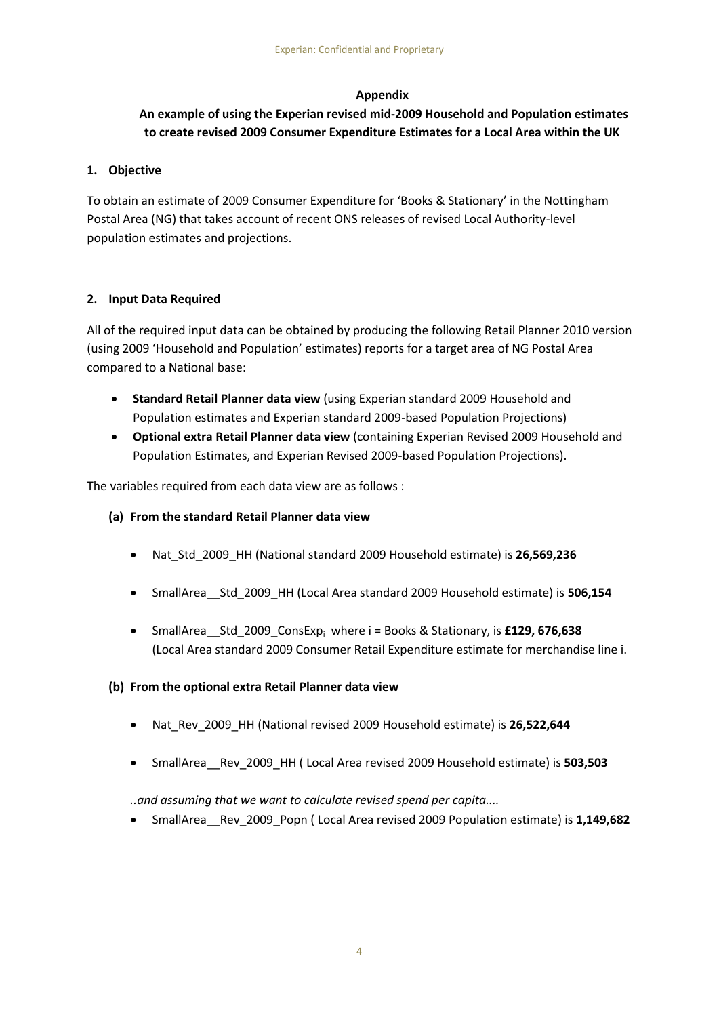## **Appendix**

# **An example of using the Experian revised mid-2009 Household and Population estimates to create revised 2009 Consumer Expenditure Estimates for a Local Area within the UK**

## **1. Objective**

To obtain an estimate of 2009 Consumer Expenditure for 'Books & Stationary' in the Nottingham Postal Area (NG) that takes account of recent ONS releases of revised Local Authority-level population estimates and projections.

## **2. Input Data Required**

All of the required input data can be obtained by producing the following Retail Planner 2010 version (using 2009 'Household and Population' estimates) reports for a target area of NG Postal Area compared to a National base:

- **Standard Retail Planner data view** (using Experian standard 2009 Household and Population estimates and Experian standard 2009-based Population Projections)
- **Optional extra Retail Planner data view** (containing Experian Revised 2009 Household and Population Estimates, and Experian Revised 2009-based Population Projections).

The variables required from each data view are as follows :

- **(a) From the standard Retail Planner data view**
	- Nat\_Std\_2009\_HH (National standard 2009 Household estimate) is **26,569,236**
	- SmallArea\_\_Std\_2009\_HH (Local Area standard 2009 Household estimate) is **506,154**
	- SmallArea\_\_Std\_2009\_ConsExp<sup>i</sup> where i = Books & Stationary, is **£129, 676,638** (Local Area standard 2009 Consumer Retail Expenditure estimate for merchandise line i.

## **(b) From the optional extra Retail Planner data view**

- Nat\_Rev\_2009\_HH (National revised 2009 Household estimate) is **26,522,644**
- SmallArea\_\_Rev\_2009\_HH ( Local Area revised 2009 Household estimate) is **503,503**

*..and assuming that we want to calculate revised spend per capita....*

SmallArea\_\_Rev\_2009\_Popn ( Local Area revised 2009 Population estimate) is **1,149,682**